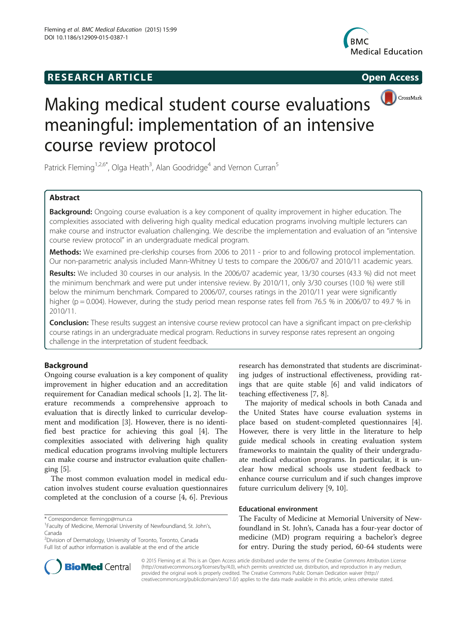# **RESEARCH ARTICLE Example 2014 CONSIDERING CONSIDERING CONSIDERING CONSIDERING CONSIDERING CONSIDERING CONSIDERING CONSIDERING CONSIDERING CONSIDERING CONSIDERING CONSIDERING CONSIDERING CONSIDERING CONSIDERING CONSIDE**





# Making medical student course evaluations meaningful: implementation of an intensive course review protocol

Patrick Fleming<sup>1,2,6\*</sup>, Olga Heath<sup>3</sup>, Alan Goodridge<sup>4</sup> and Vernon Curran<sup>5</sup>

# Abstract

Background: Ongoing course evaluation is a key component of quality improvement in higher education. The complexities associated with delivering high quality medical education programs involving multiple lecturers can make course and instructor evaluation challenging. We describe the implementation and evaluation of an "intensive course review protocol" in an undergraduate medical program.

Methods: We examined pre-clerkship courses from 2006 to 2011 - prior to and following protocol implementation. Our non-parametric analysis included Mann-Whitney U tests to compare the 2006/07 and 2010/11 academic years.

Results: We included 30 courses in our analysis. In the 2006/07 academic year, 13/30 courses (43.3 %) did not meet the minimum benchmark and were put under intensive review. By 2010/11, only 3/30 courses (10.0 %) were still below the minimum benchmark. Compared to 2006/07, courses ratings in the 2010/11 year were significantly higher ( $p = 0.004$ ). However, during the study period mean response rates fell from 76.5 % in 2006/07 to 49.7 % in 2010/11.

Conclusion: These results suggest an intensive course review protocol can have a significant impact on pre-clerkship course ratings in an undergraduate medical program. Reductions in survey response rates represent an ongoing challenge in the interpretation of student feedback.

# Background

Ongoing course evaluation is a key component of quality improvement in higher education and an accreditation requirement for Canadian medical schools [[1, 2\]](#page-4-0). The literature recommends a comprehensive approach to evaluation that is directly linked to curricular development and modification [[3\]](#page-4-0). However, there is no identified best practice for achieving this goal [[4\]](#page-4-0). The complexities associated with delivering high quality medical education programs involving multiple lecturers can make course and instructor evaluation quite challenging  $[5]$  $[5]$ .

The most common evaluation model in medical education involves student course evaluation questionnaires completed at the conclusion of a course [\[4](#page-4-0), [6\]](#page-4-0). Previous

2 Division of Dermatology, University of Toronto, Toronto, Canada Full list of author information is available at the end of the article



The majority of medical schools in both Canada and the United States have course evaluation systems in place based on student-completed questionnaires [\[4](#page-4-0)]. However, there is very little in the literature to help guide medical schools in creating evaluation system frameworks to maintain the quality of their undergraduate medical education programs. In particular, it is unclear how medical schools use student feedback to enhance course curriculum and if such changes improve future curriculum delivery [[9, 10](#page-4-0)].

## Educational environment

The Faculty of Medicine at Memorial University of Newfoundland in St. John's, Canada has a four-year doctor of medicine (MD) program requiring a bachelor's degree for entry. During the study period, 60-64 students were



© 2015 Fleming et al. This is an Open Access article distributed under the terms of the Creative Commons Attribution License [\(http://creativecommons.org/licenses/by/4.0\)](http://creativecommons.org/licenses/by/4.0), which permits unrestricted use, distribution, and reproduction in any medium, provided the original work is properly credited. The Creative Commons Public Domain Dedication waiver [\(http://](http://creativecommons.org/publicdomain/zero/1.0/) [creativecommons.org/publicdomain/zero/1.0/\)](http://creativecommons.org/publicdomain/zero/1.0/) applies to the data made available in this article, unless otherwise stated.

<sup>\*</sup> Correspondence: [flemingp@mun.ca](mailto:flemingp@mun.ca) <sup>1</sup>

Faculty of Medicine, Memorial University of Newfoundland, St. John's, Canada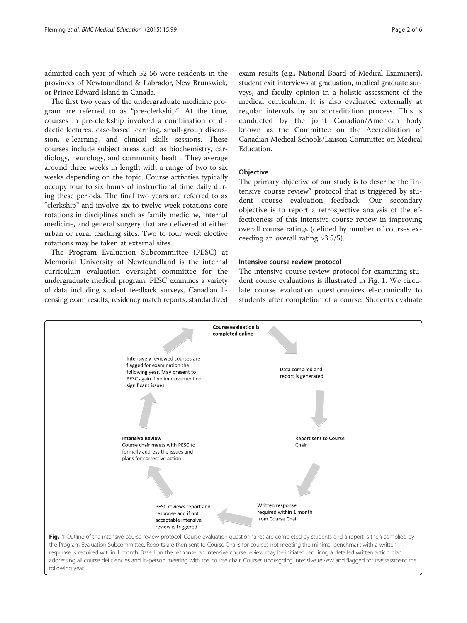admitted each year of which 52-56 were residents in the provinces of Newfoundland & Labrador, New Brunswick, or Prince Edward Island in Canada.

The first two years of the undergraduate medicine program are referred to as "pre-clerkship". At the time, courses in pre-clerkship involved a combination of didactic lectures, case-based learning, small-group discussion, e-learning, and clinical skills sessions. These courses include subject areas such as biochemistry, cardiology, neurology, and community health. They average around three weeks in length with a range of two to six weeks depending on the topic. Course activities typically occupy four to six hours of instructional time daily during these periods. The final two years are referred to as "clerkship" and involve six to twelve week rotations core rotations in disciplines such as family medicine, internal medicine, and general surgery that are delivered at either urban or rural teaching sites. Two to four week elective rotations may be taken at external sites.

The Program Evaluation Subcommittee (PESC) at Memorial University of Newfoundland is the internal curriculum evaluation oversight committee for the undergraduate medical program. PESC examines a variety of data including student feedback surveys, Canadian licensing exam results, residency match reports, standardized exam results (e.g., National Board of Medical Examiners), student exit interviews at graduation, medical graduate surveys, and faculty opinion in a holistic assessment of the medical curriculum. It is also evaluated externally at regular intervals by an accreditation process. This is conducted by the joint Canadian/American body known as the Committee on the Accreditation of Canadian Medical Schools/Liaison Committee on Medical Education.

#### **Objective**

The primary objective of our study is to describe the "intensive course review" protocol that is triggered by student course evaluation feedback. Our secondary objective is to report a retrospective analysis of the effectiveness of this intensive course review in improving overall course ratings (defined by number of courses exceeding an overall rating >3.5/5).

#### Intensive course review protocol

The intensive course review protocol for examining student course evaluations is illustrated in Fig. 1. We circulate course evaluation questionnaires electronically to students after completion of a course. Students evaluate

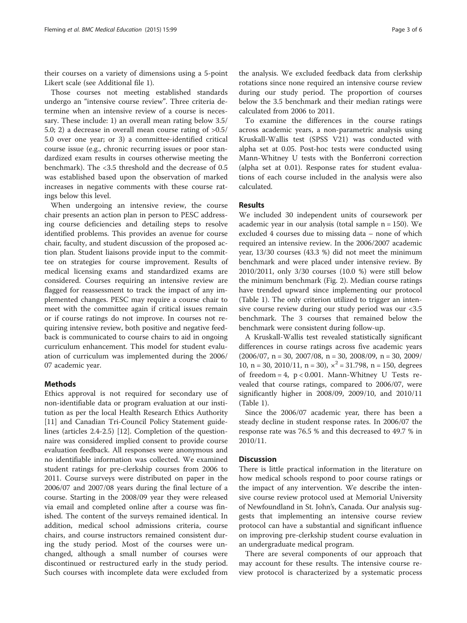their courses on a variety of dimensions using a 5-point Likert scale (see Additional file [1](#page-4-0)).

Those courses not meeting established standards undergo an "intensive course review". Three criteria determine when an intensive review of a course is necessary. These include: 1) an overall mean rating below 3.5/ 5.0; 2) a decrease in overall mean course rating of >0.5/ 5.0 over one year; or 3) a committee-identified critical course issue (e.g., chronic recurring issues or poor standardized exam results in courses otherwise meeting the benchmark). The <3.5 threshold and the decrease of 0.5 was established based upon the observation of marked increases in negative comments with these course ratings below this level.

When undergoing an intensive review, the course chair presents an action plan in person to PESC addressing course deficiencies and detailing steps to resolve identified problems. This provides an avenue for course chair, faculty, and student discussion of the proposed action plan. Student liaisons provide input to the committee on strategies for course improvement. Results of medical licensing exams and standardized exams are considered. Courses requiring an intensive review are flagged for reassessment to track the impact of any implemented changes. PESC may require a course chair to meet with the committee again if critical issues remain or if course ratings do not improve. In courses not requiring intensive review, both positive and negative feedback is communicated to course chairs to aid in ongoing curriculum enhancement. This model for student evaluation of curriculum was implemented during the 2006/ 07 academic year.

### Methods

Ethics approval is not required for secondary use of non-identifiable data or program evaluation at our institution as per the local Health Research Ethics Authority [[11\]](#page-4-0) and Canadian Tri-Council Policy Statement guidelines (articles 2.4-2.5) [[12](#page-4-0)]. Completion of the questionnaire was considered implied consent to provide course evaluation feedback. All responses were anonymous and no identifiable information was collected. We examined student ratings for pre-clerkship courses from 2006 to 2011. Course surveys were distributed on paper in the 2006/07 and 2007/08 years during the final lecture of a course. Starting in the 2008/09 year they were released via email and completed online after a course was finished. The content of the surveys remained identical. In addition, medical school admissions criteria, course chairs, and course instructors remained consistent during the study period. Most of the courses were unchanged, although a small number of courses were discontinued or restructured early in the study period. Such courses with incomplete data were excluded from the analysis. We excluded feedback data from clerkship rotations since none required an intensive course review during our study period. The proportion of courses below the 3.5 benchmark and their median ratings were calculated from 2006 to 2011.

To examine the differences in the course ratings across academic years, a non-parametric analysis using Kruskall-Wallis test (SPSS V21) was conducted with alpha set at 0.05. Post-hoc tests were conducted using Mann-Whitney U tests with the Bonferroni correction (alpha set at 0.01). Response rates for student evaluations of each course included in the analysis were also calculated.

#### Results

We included 30 independent units of coursework per academic year in our analysis (total sample  $n = 150$ ). We excluded 4 courses due to missing data – none of which required an intensive review. In the 2006/2007 academic year, 13/30 courses (43.3 %) did not meet the minimum benchmark and were placed under intensive review. By 2010/2011, only 3/30 courses (10.0 %) were still below the minimum benchmark (Fig. [2\)](#page-3-0). Median course ratings have trended upward since implementing our protocol (Table [1](#page-3-0)). The only criterion utilized to trigger an intensive course review during our study period was our <3.5 benchmark. The 3 courses that remained below the benchmark were consistent during follow-up.

A Kruskall-Wallis test revealed statistically significant differences in course ratings across five academic years  $(2006/07, n = 30, 2007/08, n = 30, 2008/09, n = 30, 2009/$ 10, n = 30, 2010/11, n = 30),  $x^2$  = 31.798, n = 150, degrees of freedom = 4,  $p < 0.001$ . Mann-Whitney U Tests revealed that course ratings, compared to 2006/07, were significantly higher in 2008/09, 2009/10, and 2010/11 (Table [1\)](#page-3-0).

Since the 2006/07 academic year, there has been a steady decline in student response rates. In 2006/07 the response rate was 76.5 % and this decreased to 49.7 % in 2010/11.

#### **Discussion**

There is little practical information in the literature on how medical schools respond to poor course ratings or the impact of any intervention. We describe the intensive course review protocol used at Memorial University of Newfoundland in St. John's, Canada. Our analysis suggests that implementing an intensive course review protocol can have a substantial and significant influence on improving pre-clerkship student course evaluation in an undergraduate medical program.

There are several components of our approach that may account for these results. The intensive course review protocol is characterized by a systematic process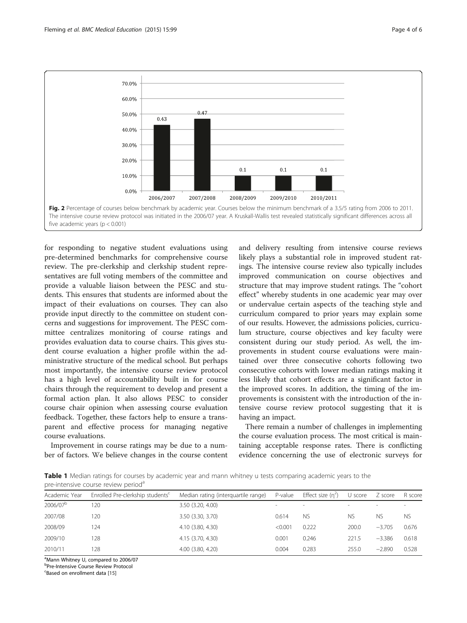<span id="page-3-0"></span>

for responding to negative student evaluations using pre-determined benchmarks for comprehensive course review. The pre-clerkship and clerkship student representatives are full voting members of the committee and provide a valuable liaison between the PESC and students. This ensures that students are informed about the impact of their evaluations on courses. They can also provide input directly to the committee on student concerns and suggestions for improvement. The PESC committee centralizes monitoring of course ratings and provides evaluation data to course chairs. This gives student course evaluation a higher profile within the administrative structure of the medical school. But perhaps most importantly, the intensive course review protocol has a high level of accountability built in for course chairs through the requirement to develop and present a formal action plan. It also allows PESC to consider course chair opinion when assessing course evaluation feedback. Together, these factors help to ensure a transparent and effective process for managing negative course evaluations.

Improvement in course ratings may be due to a number of factors. We believe changes in the course content and delivery resulting from intensive course reviews likely plays a substantial role in improved student ratings. The intensive course review also typically includes improved communication on course objectives and structure that may improve student ratings. The "cohort effect" whereby students in one academic year may over or undervalue certain aspects of the teaching style and curriculum compared to prior years may explain some of our results. However, the admissions policies, curriculum structure, course objectives and key faculty were consistent during our study period. As well, the improvements in student course evaluations were maintained over three consecutive cohorts following two consecutive cohorts with lower median ratings making it less likely that cohort effects are a significant factor in the improved scores. In addition, the timing of the improvements is consistent with the introduction of the intensive course review protocol suggesting that it is having an impact.

There remain a number of challenges in implementing the course evaluation process. The most critical is maintaining acceptable response rates. There is conflicting evidence concerning the use of electronic surveys for

Table 1 Median ratings for courses by academic year and mann whitney u tests comparing academic years to the pre-intensive course review period<sup>a</sup>

| Academic Year        | Enrolled Pre-clerkship students <sup>c</sup> | Median rating (interguartile range) | P-value                  | Effect size $(n^2)$ | U score                  | Z score   | R score                  |
|----------------------|----------------------------------------------|-------------------------------------|--------------------------|---------------------|--------------------------|-----------|--------------------------|
| 2006/07 <sup>b</sup> | 120                                          | 3.50 (3.20, 4.00)                   | $\overline{\phantom{a}}$ | $\sim$              | $\overline{\phantom{a}}$ |           | $\overline{\phantom{a}}$ |
| 2007/08              | 120                                          | 3.50 (3.30, 3.70)                   | 0.614                    | <b>NS</b>           | NS.                      | <b>NS</b> | <b>NS</b>                |
| 2008/09              | 124                                          | 4.10 (3.80, 4.30)                   | < 0.001                  | 0.222               | 200.0                    | $-3.705$  | 0.676                    |
| 2009/10              | 128                                          | 4.15 (3.70, 4.30)                   | 0.001                    | 0.246               | 221.5                    | $-3.386$  | 0.618                    |
| 2010/11              | 128                                          | 4.00 (3.80, 4.20)                   | 0.004                    | 0.283               | 255.0                    | $-2.890$  | 0.528                    |

<sup>a</sup>Mann Whitney U, compared to 2006/07

**<sup>b</sup>Pre-Intensive Course Review Protocol** 

<sup>c</sup>Based on enrollment data [[15\]](#page-5-0)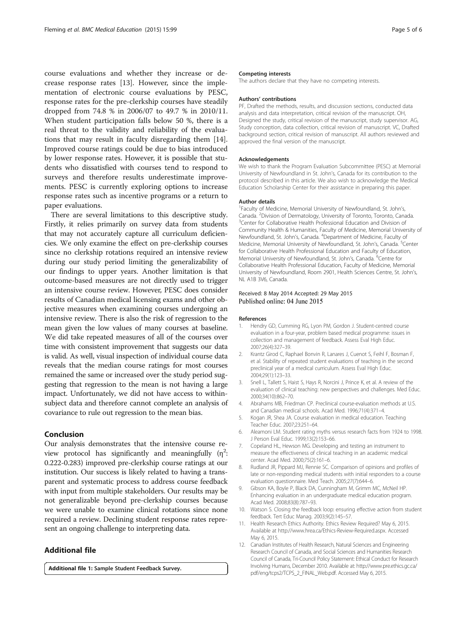<span id="page-4-0"></span>course evaluations and whether they increase or decrease response rates [\[13\]](#page-5-0). However, since the implementation of electronic course evaluations by PESC, response rates for the pre-clerkship courses have steadily dropped from 74.8 % in 2006/07 to 49.7 % in 2010/11. When student participation falls below 50 %, there is a real threat to the validity and reliability of the evaluations that may result in faculty disregarding them [\[14](#page-5-0)]. Improved course ratings could be due to bias introduced by lower response rates. However, it is possible that students who dissatisfied with courses tend to respond to surveys and therefore results underestimate improvements. PESC is currently exploring options to increase response rates such as incentive programs or a return to paper evaluations.

There are several limitations to this descriptive study. Firstly, it relies primarily on survey data from students that may not accurately capture all curriculum deficiencies. We only examine the effect on pre-clerkship courses since no clerkship rotations required an intensive review during our study period limiting the generalizability of our findings to upper years. Another limitation is that outcome-based measures are not directly used to trigger an intensive course review. However, PESC does consider results of Canadian medical licensing exams and other objective measures when examining courses undergoing an intensive review. There is also the risk of regression to the mean given the low values of many courses at baseline. We did take repeated measures of all of the courses over time with consistent improvement that suggests our data is valid. As well, visual inspection of individual course data reveals that the median course ratings for most courses remained the same or increased over the study period suggesting that regression to the mean is not having a large impact. Unfortunately, we did not have access to withinsubject data and therefore cannot complete an analysis of covariance to rule out regression to the mean bias.

#### Conclusion

Our analysis demonstrates that the intensive course review protocol has significantly and meaningfully  $(\eta^2)$ : 0.222-0.283) improved pre-clerkship course ratings at our institution. Our success is likely related to having a transparent and systematic process to address course feedback with input from multiple stakeholders. Our results may be not generalizable beyond pre-clerkship courses because we were unable to examine clinical rotations since none required a review. Declining student response rates represent an ongoing challenge to interpreting data.

## Additional file

[Additional file 1:](http://www.biomedcentral.com/content/supplementary/s12909-015-0387-1-s1.doc) Sample Student Feedback Survey.

#### Competing interests

The authors declare that they have no competing interests.

#### Authors' contributions

PF, Drafted the methods, results, and discussion sections, conducted data analysis and data interpretation, critical revision of the manuscript. OH, Designed the study, critical revision of the manuscript, study supervisor. AG, Study conception, data collection, critical revision of manuscript. VC, Drafted background section, critical revision of manuscript. All authors reviewed and approved the final version of the manuscript.

#### Acknowledgements

We wish to thank the Program Evaluation Subcommittee (PESC) at Memorial University of Newfoundland in St. John's, Canada for its contribution to the protocol described in this article. We also wish to acknowledge the Medical Education Scholarship Center for their assistance in preparing this paper.

#### Author details

<sup>1</sup> Faculty of Medicine, Memorial University of Newfoundland, St. John's Canada. <sup>2</sup> Division of Dermatology, University of Toronto, Toronto, Canada. <sup>3</sup> <sup>3</sup> Center for Collaborative Health Professional Education and Division of Community Health & Humanities, Faculty of Medicine, Memorial University of Newfoundland, St. John's, Canada. <sup>4</sup> Department of Medicine, Faculty of Medicine, Memorial University of Newfoundland, St. John's, Canada. <sup>5</sup>Center for Collaborative Health Professional Education and Faculty of Education, Memorial University of Newfoundland, St. John's, Canada. <sup>6</sup>Centre for Collaborative Health Professional Education, Faculty of Medicine, Memorial University of Newfoundland, Room 2901, Health Sciences Centre, St. John's, NL A1B 3V6, Canada.

# Received: 8 May 2014 Accepted: 29 May 2015<br>Published online: 04 June 2015

#### References

- 1. Hendry GD, Cumming RG, Lyon PM, Gordon J. Student-centred course evaluation in a four-year, problem based medical programme: issues in collection and management of feedback. Assess Eval High Educ. 2007;26(4):327–39.
- 2. Krantz Girod C, Raphael Bonvin R, Lanares J, Cuenot S, Feihl F, Bosman F, et al. Stability of repeated student evaluations of teaching in the second preclinical year of a medical curriculum. Assess Eval High Educ. 2004;29(1):123–33.
- 3. Snell L, Tallett S, Haist S, Hays R, Norcini J, Prince K, et al. A review of the evaluation of clinical teaching: new perspectives and challenges. Med Educ. 2000;34(10):862–70.
- 4. Abrahams MB, Friedman CP. Preclinical course-evaluation methods at U.S. and Canadian medical schools. Acad Med. 1996;71(4):371–4.
- 5. Kogan JR, Shea JA. Course evaluation in medical education. Teaching Teacher Educ. 2007;23:251–64.
- 6. Aleamoni LM. Student rating myths versus research facts from 1924 to 1998. J Person Eval Educ. 1999;13(2):153–66.
- 7. Copeland HL, Hewson MG. Developing and testing an instrument to measure the effectiveness of clinical teaching in an academic medical center. Acad Med. 2000;75(2):161–6.
- 8. Rudland JR, Pippard MJ, Rennie SC. Comparison of opinions and profiles of late or non-responding medical students with initial responders to a course evaluation questionnaire. Med Teach. 2005;27(7):644–6.
- 9. Gibson KA, Boyle P, Black DA, Cunningham M, Grimm MC, McNeil HP. Enhancing evaluation in an undergraduate medical education program. Acad Med. 2008;83(8):787–93.
- 10. Watson S. Closing the feedback loop: ensuring effective action from student feedback. Tert Educ Manag. 2003;9(2):145–57.
- 11. Health Research Ethics Authority. Ethics Review Required? May 6, 2015. Available at [http://www.hrea.ca/Ethics-Review-Required.aspx.](http://www.hrea.ca/Ethics-Review-Required.aspx) Accessed May 6, 2015.
- 12. Canadian Institutes of Health Research, Natural Sciences and Engineering Research Council of Canada, and Social Sciences and Humanities Research Council of Canada, Tri-Council Policy Statement: Ethical Conduct for Research Involving Humans, December 2010. Available at: [http://www.pre.ethics.gc.ca/](http://www.pre.ethics.gc.ca/pdf/eng/tcps2/TCPS_2_FINAL_Web.pdf) [pdf/eng/tcps2/TCPS\\_2\\_FINAL\\_Web.pdf](http://www.pre.ethics.gc.ca/pdf/eng/tcps2/TCPS_2_FINAL_Web.pdf). Accessed May 6, 2015.